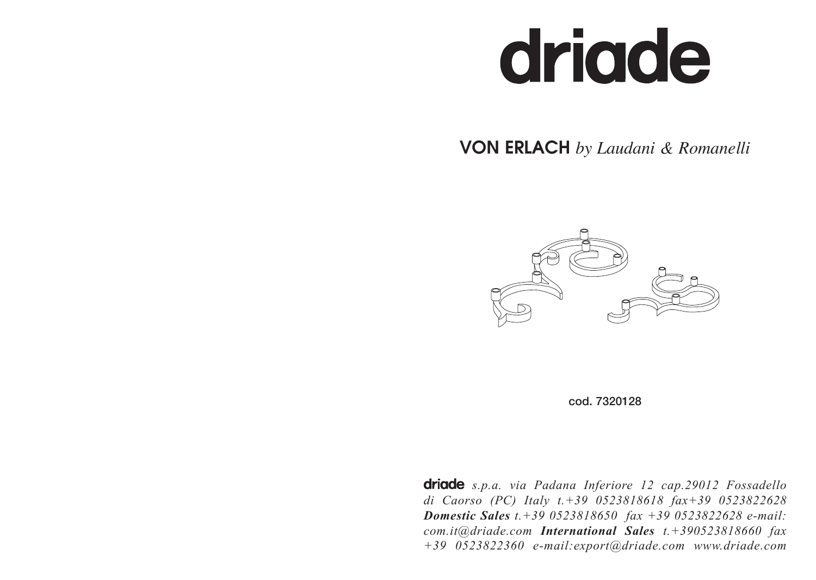# driade

## VON ERLACH *by Laudani & Romanelli*





**driade** s.p.a. via Padana Inferiore 12 cap.29012 Fossadello *di Caorso (PC) Italy t.+39 0523818618 fax+39 0523822628 Domestic Sales t.+39 0523818650 fax +39 0523822628 e-mail: com.it@driade.com International Sales t.+390523818660 fax +39 0523822360 e-mail:export@driade.com www.driade.com*